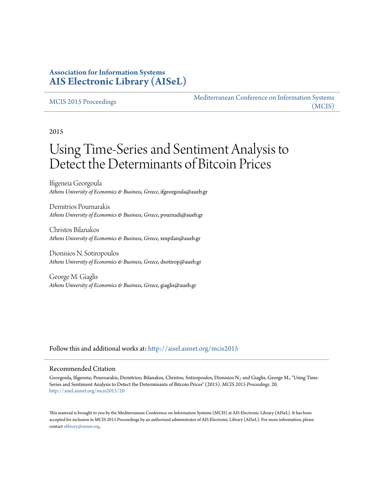## **Association for Information Systems [AIS Electronic Library \(AISeL\)](http://aisel.aisnet.org?utm_source=aisel.aisnet.org%2Fmcis2015%2F20&utm_medium=PDF&utm_campaign=PDFCoverPages)**

#### [MCIS 2015 Proceedings](http://aisel.aisnet.org/mcis2015?utm_source=aisel.aisnet.org%2Fmcis2015%2F20&utm_medium=PDF&utm_campaign=PDFCoverPages)

[Mediterranean Conference on Information Systems](http://aisel.aisnet.org/mcis?utm_source=aisel.aisnet.org%2Fmcis2015%2F20&utm_medium=PDF&utm_campaign=PDFCoverPages) [\(MCIS\)](http://aisel.aisnet.org/mcis?utm_source=aisel.aisnet.org%2Fmcis2015%2F20&utm_medium=PDF&utm_campaign=PDFCoverPages)

2015

# Using Time-Series and Sentiment Analysis to Detect the Determinants of Bitcoin Prices

Ifigeneia Georgoula *Athens University of Economics & Business, Greece*, ifgeorgoula@aueb.gr

Demitrios Pournarakis *Athens University of Economics & Business, Greece*, pournadi@aueb.gr

Christos Bilanakos *Athens University of Economics & Business, Greece*, xmpilan@aueb.gr

Dionisios N. Sotiropoulos *Athens University of Economics & Business, Greece*, dsotirop@aueb.gr

George M. Giaglis *Athens University of Economics & Business, Greece*, giaglis@aueb.gr

Follow this and additional works at: [http://aisel.aisnet.org/mcis2015](http://aisel.aisnet.org/mcis2015?utm_source=aisel.aisnet.org%2Fmcis2015%2F20&utm_medium=PDF&utm_campaign=PDFCoverPages)

#### Recommended Citation

Georgoula, Ifigeneia; Pournarakis, Demitrios; Bilanakos, Christos; Sotiropoulos, Dionisios N.; and Giaglis, George M., "Using Time-Series and Sentiment Analysis to Detect the Determinants of Bitcoin Prices" (2015). *MCIS 2015 Proceedings*. 20. [http://aisel.aisnet.org/mcis2015/20](http://aisel.aisnet.org/mcis2015/20?utm_source=aisel.aisnet.org%2Fmcis2015%2F20&utm_medium=PDF&utm_campaign=PDFCoverPages)

This material is brought to you by the Mediterranean Conference on Information Systems (MCIS) at AIS Electronic Library (AISeL). It has been accepted for inclusion in MCIS 2015 Proceedings by an authorized administrator of AIS Electronic Library (AISeL). For more information, please contact [elibrary@aisnet.org.](mailto:elibrary@aisnet.org%3E)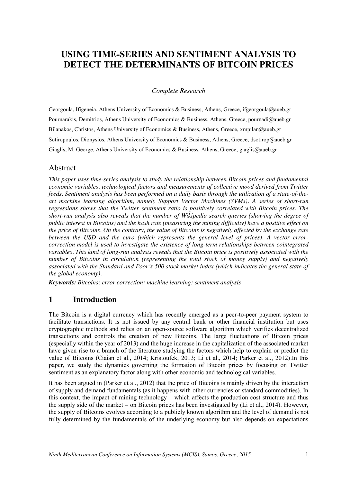## **USING TIME-SERIES AND SENTIMENT ANALYSIS TO DETECT THE DETERMINANTS OF BITCOIN PRICES**

*Complete Research*

Georgoula, Ifigeneia, Athens University of Economics & Business, Athens, Greece, ifgeorgoula@aueb.gr Pournarakis, Demitrios, Athens University of Economics & Business, Athens, Greece, pournadi@aueb.gr Bilanakos, Christos, Athens University of Economics & Business, Athens, Greece, xmpilan@aueb.gr Sotiropoulos, Dionysios, Athens University of Economics & Business, Athens, Greece, dsotirop@aueb.gr Giaglis, M. George, Athens University of Economics & Business, Athens, Greece, giaglis@aueb.gr

## Abstract

*This paper uses time-series analysis to study the relationship between Bitcoin prices and fundamental economic variables, technological factors and measurements of collective mood derived from Twitter feeds. Sentiment analysis has been performed on a daily basis through the utilization of a state-of-theart machine learning algorithm, namely Support Vector Machines (SVMs). A series of short-run regressions shows that the Twitter sentiment ratio is positively correlated with Bitcoin prices. The short-run analysis also reveals that the number of Wikipedia search queries (showing the degree of public interest in Bitcoins) and the hash rate (measuring the mining difficulty) have a positive effect on the price of Bitcoins. On the contrary, the value of Bitcoins is negatively affected by the exchange rate between the USD and the euro (which represents the general level of prices). A vector errorcorrection model is used to investigate the existence of long-term relationships between cointegrated variables. This kind of long-run analysis reveals that the Bitcoin price is positively associated with the number of Bitcoins in circulation (representing the total stock of money supply) and negatively associated with the Standard and Poor's 500 stock market index (which indicates the general state of the global economy).*

*Keywords: Bitcoins; error correction; machine learning; sentiment analysis.*

## **1 Introduction**

The Bitcoin is a digital currency which has recently emerged as a peer-to-peer payment system to facilitate transactions. It is not issued by any central bank or other financial institution but uses cryptographic methods and relies on an open-source software algorithm which verifies decentralized transactions and controls the creation of new Bitcoins. The large fluctuations of Bitcoin prices (especially within the year of 2013) and the huge increase in the capitalization of the associated market have given rise to a branch of the literature studying the factors which help to explain or predict the value of Bitcoins (Ciaian et al., 2014; Kristoufek, 2013; Li et al., 2014; Parker et al., 2012).In this paper, we study the dynamics governing the formation of Bitcoin prices by focusing on Twitter sentiment as an explanatory factor along with other economic and technological variables.

It has been argued in (Parker et al., 2012) that the price of Bitcoins is mainly driven by the interaction of supply and demand fundamentals (as it happens with other currencies or standard commodities). In this context, the impact of mining technology – which affects the production cost structure and thus the supply side of the market – on Bitcoin prices has been investigated by (Li et al., 2014). However, the supply of Bitcoins evolves according to a publicly known algorithm and the level of demand is not fully determined by the fundamentals of the underlying economy but also depends on expectations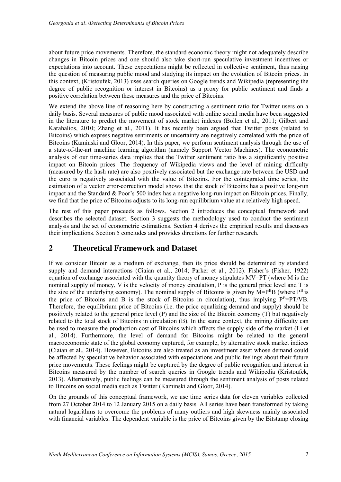about future price movements. Therefore, the standard economic theory might not adequately describe changes in Bitcoin prices and one should also take short-run speculative investment incentives or expectations into account. These expectations might be reflected in collective sentiment, thus raising the question of measuring public mood and studying its impact on the evolution of Bitcoin prices. In this context, (Kristoufek, 2013) uses search queries on Google trends and Wikipedia (representing the degree of public recognition or interest in Bitcoins) as a proxy for public sentiment and finds a positive correlation between these measures and the price of Bitcoins.

We extend the above line of reasoning here by constructing a sentiment ratio for Twitter users on a daily basis. Several measures of public mood associated with online social media have been suggested in the literature to predict the movement of stock market indexes (Bollen et al., 2011; Gilbert and Karahalios, 2010; Zhang et al., 2011). It has recently been argued that Twitter posts (related to Bitcoins) which express negative sentiments or uncertainty are negatively correlated with the price of Bitcoins (Kaminski and Gloor, 2014). In this paper, we perform sentiment analysis through the use of a state-of-the-art machine learning algorithm (namely Support Vector Machines). The econometric analysis of our time-series data implies that the Twitter sentiment ratio has a significantly positive impact on Bitcoin prices. The frequency of Wikipedia views and the level of mining difficulty (measured by the hash rate) are also positively associated but the exchange rate between the USD and the euro is negatively associated with the value of Bitcoins. For the cointegrated time series, the estimation of a vector error-correction model shows that the stock of Bitcoins has a positive long-run impact and the Standard & Poor's 500 index has a negative long-run impact on Bitcoin prices. Finally, we find that the price of Bitcoins adjusts to its long-run equilibrium value at a relatively high speed.

The rest of this paper proceeds as follows. Section 2 introduces the conceptual framework and describes the selected dataset. Section 3 suggests the methodology used to conduct the sentiment analysis and the set of econometric estimations. Section 4 derives the empirical results and discusses their implications. Section 5 concludes and provides directions for further research.

## **2 Theoretical Framework and Dataset**

If we consider Bitcoin as a medium of exchange, then its price should be determined by standard supply and demand interactions (Ciaian et al., 2014; Parker et al., 2012). Fisher's (Fisher, 1922) equation of exchange associated with the quantity theory of money stipulates MV=PT (where M is the nominal supply of money, V is the velocity of money circulation, P is the general price level and T is the size of the underlying economy). The nominal supply of Bitcoins is given by  $M=PEB$  (where  $P^B$  is the price of Bitcoins and B is the stock of Bitcoins in circulation), thus implying  $P^B=PT/VB$ . Therefore, the equilibrium price of Bitcoins (i.e. the price equalizing demand and supply) should be positively related to the general price level (P) and the size of the Bitcoin economy (T) but negatively related to the total stock of Bitcoins in circulation (B). In the same context, the mining difficulty can be used to measure the production cost of Bitcoins which affects the supply side of the market (Li et al., 2014). Furthermore, the level of demand for Bitcoins might be related to the general macroeconomic state of the global economy captured, for example, by alternative stock market indices (Ciaian et al., 2014). However, Bitcoins are also treated as an investment asset whose demand could be affected by speculative behavior associated with expectations and public feelings about their future price movements. These feelings might be captured by the degree of public recognition and interest in Bitcoins measured by the number of search queries in Google trends and Wikipedia (Kristoufek, 2013). Alternatively, public feelings can be measured through the sentiment analysis of posts related to Bitcoins on social media such as Twitter (Kaminski and Gloor, 2014).

On the grounds of this conceptual framework, we use time series data for eleven variables collected from 27 October 2014 to 12 January 2015 on a daily basis. All series have been transformed by taking natural logarithms to overcome the problems of many outliers and high skewness mainly associated with financial variables. The dependent variable is the price of Bitcoins given by the Bitstamp closing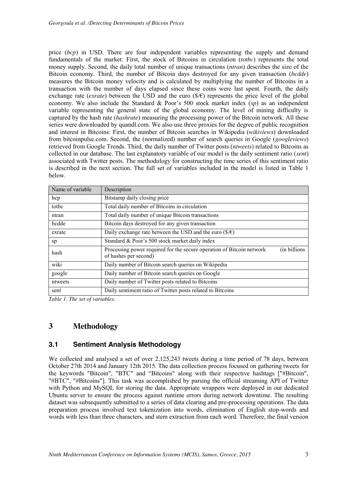price (*bcp*) in USD. There are four independent variables representing the supply and demand fundamentals of the market: First, the stock of Bitcoins in circulation (*totbc*) represents the total money supply. Second, the daily total number of unique transactions (*ntran*) describes the size of the Bitcoin economy. Third, the number of Bitcoin days destroyed for any given transaction (*bcdde*) measures the Bitcoin money velocity and is calculated by multiplying the number of Bitcoins in a transaction with the number of days elapsed since these coins were last spent. Fourth, the daily exchange rate (*exrate*) between the USD and the euro (\$/€) represents the price level of the global economy. We also include the Standard & Poor's 500 stock market index (*sp*) as an independent variable representing the general state of the global economy. The level of mining difficulty is captured by the hash rate (*hashrate*) measuring the processing power of the Bitcoin network. All these series were downloaded by quandl.com. We also use three proxies for the degree of public recognition and interest in Bitcoins: First, the number of Bitcoin searches in Wikipedia (*wikiviews*) downloaded from bitcoinpulse.com. Second, the (normalized) number of search queries in Google (*googleviews*) retrieved from Google Trends. Third, the daily number of Twitter posts (*ntweets*) related to Bitcoins as collected in our database. The last explanatory variable of our model is the daily sentiment ratio (*sent*) associated with Twitter posts. The methodology for constructing the time series of this sentiment ratio is described in the next section. The full set of variables included in the model is listed in Table 1 below.

| Name of variable | Description                                                                                                    |  |  |
|------------------|----------------------------------------------------------------------------------------------------------------|--|--|
| bcp              | Bitstamp daily closing price                                                                                   |  |  |
| totbc            | Total daily number of Bitcoins in circulation                                                                  |  |  |
| ntran            | Total daily number of unique Bitcoin transactions                                                              |  |  |
| bcdde            | Bitcoin days destroyed for any given transaction                                                               |  |  |
| exrate           | Daily exchange rate between the USD and the euro $(\frac{6}{\epsilon})$                                        |  |  |
| sp               | Standard & Poor's 500 stock market daily index                                                                 |  |  |
| hash             | Processing power required for the secure operation of Bitcoin network<br>(in billions<br>of hashes per second) |  |  |
| wiki             | Daily number of Bitcoin search queries on Wikipedia                                                            |  |  |
| google           | Daily number of Bitcoin search queries on Google                                                               |  |  |
| ntweets          | Daily number of Twitter posts related to Bitcoins                                                              |  |  |
| sent             | Daily sentiment ratio of Twitter posts related to Bitcoins                                                     |  |  |

*Table 1. The set of variables.*

## **3 Methodology**

## **3.1 Sentiment Analysis Methodology**

We collected and analysed a set of over 2,125,243 tweets during a time period of 78 days, between October 27th 2014 and January 12th 2015. The data collection process focused on gathering tweets for the keywords "Bitcoin", "BTC" and "Bitcoins" along with their respective hashtags ["#Bitcoin", "#BTC", "#Bitcoins"]. This task was accomplished by parsing the official streaming API of Twitter with Python and MySQL for storing the data. Appropriate wrappers were deployed in our dedicated Ubuntu server to ensure the process against runtime errors during network downtime. The resulting dataset was subsequently submitted to a series of data clearing and pre-processing operations. The data preparation process involved text tokenization into words, elimination of English stop-words and words with less than three characters, and stem extraction from each word. Therefore, the final version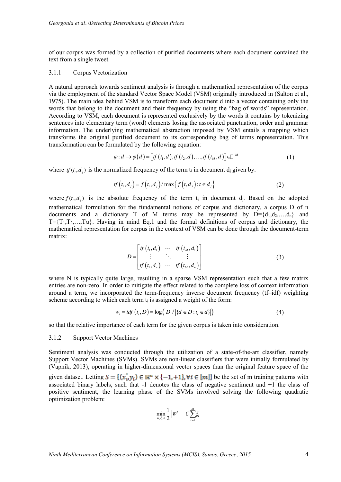of our corpus was formed by a collection of purified documents where each document contained the text from a single tweet.

#### 3.1.1 Corpus Vectorization

A natural approach towards sentiment analysis is through a mathematical representation of the corpus via the employment of the standard Vector Space Model (VSM) originally introduced in (Salton et al., 1975). The main idea behind VSM is to transform each document d into a vector containing only the words that belong to the document and their frequency by using the "bag of words" representation. According to VSM, each document is represented exclusively by the words it contains by tokenizing sentences into elementary term (word) elements losing the associated punctuation, order and grammar information. The underlying mathematical abstraction imposed by VSM entails a mapping which transforms the original purified document to its corresponding bag of terms representation. This transformation can be formulated by the following equation:

$$
\varphi: d \to \varphi(d) = \left[ tf(t_1, d), tf(t_2, d), ..., tf(t_M, d) \right] \in \square^M
$$
\n(1)

where  $tf(t_i, d_i)$  is the normalized frequency of the term  $t_i$  in document  $d_i$  given by:

$$
tf(t_i, d_j) = f(t_i, d_j) / \max\{f(t, d_j) : t \in d_j\}
$$
 (2)

where  $f(t, d)$  is the absolute frequency of the term t<sub>i</sub> in document d<sub>i</sub>. Based on the adopted mathematical formulation for the fundamental notions of corpus and dictionary, a corpus D of n documents and a dictionary T of M terms may be represented by  $D = \{d_1, d_2, \ldots, d_n\}$  and  $T=\{T_1,T_2,...,T_M\}$ . Having in mind Eq.1 and the formal definitions of corpus and dictionary, the mathematical representation for corpus in the context of VSM can be done through the document-term matrix:

$$
D = \begin{bmatrix} tf(t_1, d_1) & \cdots & tf(t_M, d_1) \\ \vdots & \ddots & \vdots \\ tf(t_1, d_n) & \cdots & tf(t_M, d_n) \end{bmatrix}
$$
 (3)

where N is typically quite large, resulting in a sparse VSM representation such that a few matrix entries are non-zero. In order to mitigate the effect related to the complete loss of context information around a term, we incorporated the term-frequency inverse document frequency (tf–idf) weighting scheme according to which each term  $t_i$  is assigned a weight of the form:

$$
w_i = idf(t_i, D) = \log(|D| / |\{d \in D : t_i \in d\}|)
$$
\n
$$
(4)
$$

so that the relative importance of each term for the given corpus is taken into consideration.

#### 3.1.2 Support Vector Machines

Sentiment analysis was conducted through the utilization of a state-of-the-art classifier, namely Support Vector Machines (SVMs). SVMs are non-linear classifiers that were initially formulated by (Vapnik, 2013), operating in higher-dimensional vector spaces than the original feature space of the

given dataset. Letting  $S = \{(\vec{x}_n y_i) \in \mathbb{R}^n \times \{-1, +1\}, \forall i \in [m]\}$  be the set of m training patterns with associated binary labels, such that -1 denotes the class of negative sentiment and +1 the class of positive sentiment, the learning phase of the SVMs involved solving the following quadratic optimization problem:

$$
\min_{\vec{w},\vec{\xi},b}\frac{1}{2}\left\|\vec{w}^2\right\|+C\sum_{i=1}^m \xi_i
$$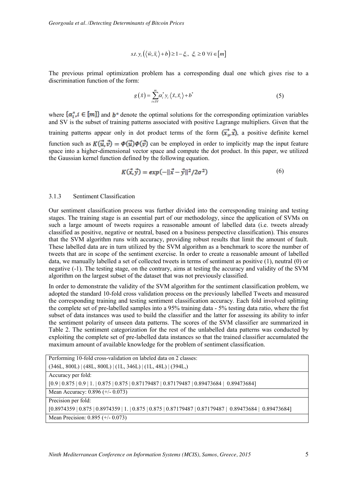$$
st. y_i(\langle \vec{w}, \vec{x}_i \rangle + b) \ge 1 - \xi_i, \ \xi_i \ge 0 \ \forall i \in [m]
$$

The previous primal optimization problem has a corresponding dual one which gives rise to a discrimination function of the form:

$$
g\left(\vec{x}\right) = \sum_{i \in SV}^{m} \alpha_i^* y_i \left\langle \vec{x}, \vec{x}_i \right\rangle + b^* \tag{5}
$$

where  $\{\alpha_i^*, i \in [m]\}$  and  $b^*$  denote the optimal solutions for the corresponding optimization variables and SV is the subset of training patterns associated with positive Lagrange multipliers. Given that the training patterns appear only in dot product terms of the form  $(\vec{x}, \vec{x})$ , a positive definite kernel function such as  $K(\vec{u}, \vec{v}) = \Phi(\vec{u}) \Phi(\vec{v})$  can be employed in order to implicitly map the input feature space into a higher-dimensional vector space and compute the dot product. In this paper, we utilized the Gaussian kernel function defined by the following equation.

$$
K(\vec{x}, \vec{y}) = exp(-\|\vec{x} - \vec{y}\|^2 / 2\sigma^2)
$$
 (6)

#### 3.1.3 Sentiment Classification

Our sentiment classification process was further divided into the corresponding training and testing stages. The training stage is an essential part of our methodology, since the application of SVMs on such a large amount of tweets requires a reasonable amount of labelled data (i.e. tweets already classified as positive, negative or neutral, based on a business perspective classification). This ensures that the SVM algorithm runs with accuracy, providing robust results that limit the amount of fault. These labelled data are in turn utilized by the SVM algorithm as a benchmark to score the number of tweets that are in scope of the sentiment exercise. In order to create a reasonable amount of labelled data, we manually labelled a set of collected tweets in terms of sentiment as positive (1), neutral (0) or negative (-1). The testing stage, on the contrary, aims at testing the accuracy and validity of the SVM algorithm on the largest subset of the dataset that was not previously classified.

In order to demonstrate the validity of the SVM algorithm for the sentiment classification problem, we adopted the standard 10-fold cross validation process on the previously labelled Tweets and measured the corresponding training and testing sentiment classification accuracy. Each fold involved splitting the complete set of pre-labelled samples into a 95% training data - 5% testing data ratio, where the fist subset of data instances was used to build the classifier and the latter for assessing its ability to infer the sentiment polarity of unseen data patterns. The scores of the SVM classifier are summarized in Table 2. The sentiment categorization for the rest of the unlabelled data patterns was conducted by exploiting the complete set of pre-labelled data instances so that the trained classifier accumulated the maximum amount of available knowledge for the problem of sentiment classification.

| Performing 10-fold cross-validation on labeled data on 2 classes:                                                                     |  |  |
|---------------------------------------------------------------------------------------------------------------------------------------|--|--|
| $(346L, 800L)$   $(48L, 800L)$   $(1L, 346L)$   $(1L, 48L)$   $(394L)$                                                                |  |  |
| Accuracy per fold:                                                                                                                    |  |  |
| $[0.9   0.875   0.9   1.   0.875   0.875   0.87179487   0.87179487   0.89473684   0.89473684]$                                        |  |  |
| Mean Accuracy: $0.896 (+/- 0.073)$                                                                                                    |  |  |
| Precision per fold:                                                                                                                   |  |  |
| $[0.8974359 \mid 0.875 \mid 0.8974359 \mid 1. \mid 0.875 \mid 0.875 \mid 0.87179487 \mid 0.87179487 \mid 0.89473684 \mid 0.89473684]$ |  |  |
| Mean Precision: $0.895 (+/- 0.073)$                                                                                                   |  |  |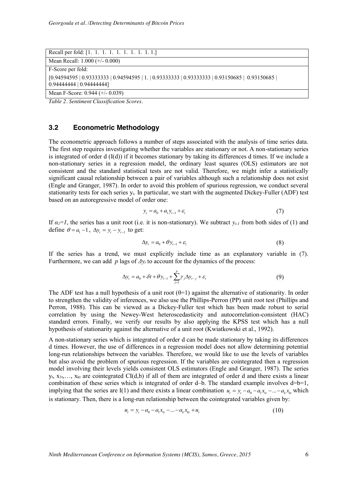| Recall per fold: [1, 1, 1, 1, 1, 1, 1, 1, 1, 1, 1]                                                                            |
|-------------------------------------------------------------------------------------------------------------------------------|
| Mean Recall: $1.000 (+/- 0.000)$                                                                                              |
| F-Score per fold:                                                                                                             |
| $[0.94594595   0.93333333   0.94594595   1.   0.93333333   0.93333333   0.93150685   0.93150685]$<br>0.94444444   0.94444444] |
| Mean F-Score: $0.944 (+/- 0.039)$                                                                                             |

*Table 2. Sentiment Classification Scores.*

#### **3.2 Econometric Methodology**

The econometric approach follows a number of steps associated with the analysis of time series data. The first step requires investigating whether the variables are stationary or not. A non-stationary series is integrated of order d (I(d)) if it becomes stationary by taking its differences d times. If we include a non-stationary series in a regression model, the ordinary least squares (OLS) estimators are not consistent and the standard statistical tests are not valid. Therefore, we might infer a statistically significant causal relationship between a pair of variables although such a relationship does not exist (Engle and Granger, 1987). In order to avoid this problem of spurious regression, we conduct several stationarity tests for each series  $y_t$ . In particular, we start with the augmented Dickey-Fuller (ADF) test based on an autoregressive model of order one:

$$
y_t = a_0 + a_1 y_{t-1} + \varepsilon_t \tag{7}
$$

If  $\alpha_1 = 1$ , the series has a unit root (i.e. it is non-stationary). We subtract  $y_{t-1}$  from both sides of (1) and define  $\theta = a_1 - 1$ ,  $\Delta y_t = y_t - y_{t-1}$  to get:

$$
\Delta y_t = a_0 + \theta y_{t-1} + \varepsilon_t \tag{8}
$$

If the series has a trend, we must explicitly include time as an explanatory variable in (7). Furthermore, we can add *p* lags of  $\Delta v_t$  to account for the dynamics of the process:

$$
\Delta y_t = a_0 + \delta t + \theta y_{t-1} + \sum_{j=1}^p \gamma_j \Delta y_{t-j} + \varepsilon_t
$$
\n(9)

The ADF test has a null hypothesis of a unit root  $(\theta=1)$  against the alternative of stationarity. In order to strengthen the validity of inferences, we also use the Phillips-Perron (PP) unit root test (Phillips and Perron, 1988). This can be viewed as a Dickey-Fuller test which has been made robust to serial correlation by using the Newey-West heteroscedasticity and autocorrelation-consistent (HAC) standard errors. Finally, we verify our results by also applying the KPSS test which has a null hypothesis of stationarity against the alternative of a unit root (Kwiatkowski et al., 1992).

A non-stationary series which is integrated of order d can be made stationary by taking its differences d times. However, the use of differences in a regression model does not allow determining potential long-run relationships between the variables. Therefore, we would like to use the levels of variables but also avoid the problem of spurious regression. If the variables are cointegrated then a regression model involving their levels yields consistent OLS estimators (Engle and Granger, 1987). The series  $y_t$ ,  $x_{1t},..., x_{kt}$  are cointegrated CI(d,b) if all of them are integrated of order d and there exists a linear combination of these series which is integrated of order d–b. The standard example involves d=b=1, implying that the series are I(1) and there exists a linear combination  $u_t = y_t - a_0 - a_1 x_{1t} - ... - a_k x_{k}$  which is stationary. Then, there is a long-run relationship between the cointegrated variables given by:

$$
u_t = y_t - a_0 - a_1 x_{1t} - \dots - a_k x_{kt} + u_t \tag{10}
$$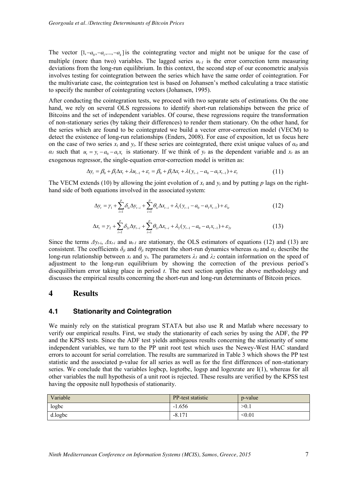The vector  $[1, -a_0, -a_1, \dots, -a_k]$  is the cointegrating vector and might not be unique for the case of multiple (more than two) variables. The lagged series  $u_{t-1}$  is the error correction term measuring deviations from the long-run equilibrium. In this context, the second step of our econometric analysis involves testing for cointegration between the series which have the same order of cointegration. For the multivariate case, the cointegration test is based on Johansen's method calculating a trace statistic to specify the number of cointegrating vectors (Johansen, 1995).

After conducting the cointegration tests, we proceed with two separate sets of estimations. On the one hand, we rely on several OLS regressions to identify short-run relationships between the price of Bitcoins and the set of independent variables. Of course, these regressions require the transformation of non-stationary series (by taking their differences) to render them stationary. On the other hand, for the series which are found to be cointegrated we build a vector error-correction model (VECM) to detect the existence of long-run relationships (Enders, 2008). For ease of exposition, let us focus here on the case of two series  $x_t$  and  $y_t$ . If these series are cointegrated, there exist unique values of  $\alpha_0$  and *α<sub>l</sub>* such that  $u_t = y_t - a_0 - a_1 x_t$  is stationary. If we think of  $y_t$  as the dependent variable and  $x_t$  as an exogenous regressor, the single-equation error-correction model is written as:

$$
\Delta y_t = \beta_0 + \beta_1 \Delta x_t + \lambda u_{t-1} + \varepsilon_t = \beta_0 + \beta_1 \Delta x_t + \lambda (y_{t-1} - a_0 - a_1 x_{t-1}) + \varepsilon_t
$$
\n(11)

The VECM extends (10) by allowing the joint evolution of  $x_t$  and  $y_t$  and by putting p lags on the righthand side of both equations involved in the associated system:

$$
\Delta y_t = \gamma_1 + \sum_{i=1}^p \delta_{1i} \Delta y_{t-i} + \sum_{i=1}^p \theta_{1i} \Delta x_{t-i} + \lambda_1 (y_{t-1} - a_0 - a_1 x_{t-1}) + \varepsilon_{1t}
$$
(12)

$$
\Delta x_{t} = \gamma_{2} + \sum_{i=1}^{p} \delta_{2i} \Delta y_{t-i} + \sum_{i=1}^{p} \theta_{2i} \Delta x_{t-i} + \lambda_{2} (y_{t-1} - a_{0} - a_{1} x_{t-1}) + \varepsilon_{2t}
$$
\n(13)

Since the terms  $\Delta y_{t-i}$ ,  $\Delta x_{t-i}$  and  $u_{t-1}$  are stationary, the OLS estimators of equations (12) and (13) are consistent. The coefficients  $\delta_{ji}$  and  $\theta_{ji}$  represent the short-run dynamics whereas  $\alpha_0$  and  $\alpha_1$  describe the long-run relationship between  $x_t$  and  $y_t$ . The parameters  $\lambda_t$  and  $\lambda_2$  contain information on the speed of adjustment to the long-run equilibrium by showing the correction of the previous period's disequilibrium error taking place in period *t*. The next section applies the above methodology and discusses the empirical results concerning the short-run and long-run determinants of Bitcoin prices.

#### **4 Results**

#### **4.1 Stationarity and Cointegration**

We mainly rely on the statistical program STATA but also use R and Matlab where necessary to verify our empirical results. First, we study the stationarity of each series by using the ADF, the PP and the KPSS tests. Since the ADF test yields ambiguous results concerning the stationarity of some independent variables, we turn to the PP unit root test which uses the Newey-West HAC standard errors to account for serial correlation. The results are summarized in Table 3 which shows the PP test statistic and the associated p-value for all series as well as for the first differences of non-stationary series. We conclude that the variables logbcp, logtotbc, logsp and logexrate are I(1), whereas for all other variables the null hypothesis of a unit root is rejected. These results are verified by the KPSS test having the opposite null hypothesis of stationarity.

| Variable | PP-test statistic | p-value |
|----------|-------------------|---------|
| logbc    | $-1.656$          | >0.1    |
| d.logbc  | $-8.171$          | < 0.01  |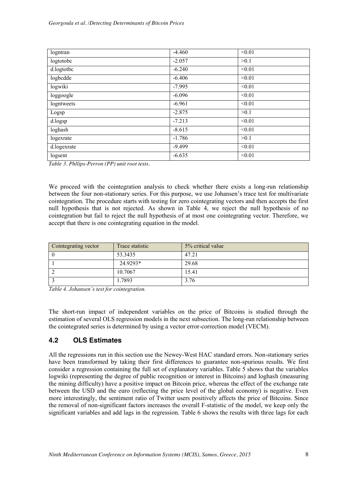| logntran    | $-4.460$ | < 0.01 |
|-------------|----------|--------|
| logtotobc   | $-2.057$ | >0.1   |
| d.logtotbc  | $-6.240$ | < 0.01 |
| logbcdde    | $-6.406$ | < 0.01 |
| logwiki     | $-7.995$ | < 0.01 |
| loggoogle   | $-6.096$ | < 0.01 |
| logntweets  | $-6.961$ | < 0.01 |
| Logsp       | $-2.875$ | >0.1   |
| d.logsp     | $-7.213$ | < 0.01 |
| loghash     | $-8.615$ | < 0.01 |
| logexrate   | $-1.786$ | >0.1   |
| d.logexrate | $-9.499$ | < 0.01 |
| logsent     | $-6.635$ | < 0.01 |
|             |          |        |

*Table 3. Phllips-Perron (PP) unit root tests.*

We proceed with the cointegration analysis to check whether there exists a long-run relationship between the four non-stationary series. For this purpose, we use Johansen's trace test for multivariate cointegration. The procedure starts with testing for zero cointegrating vectors and then accepts the first null hypothesis that is not rejected. As shown in Table 4, we reject the null hypothesis of no cointegration but fail to reject the null hypothesis of at most one cointegrating vector. Therefore, we accept that there is one cointegrating equation in the model.

| Cointegrating vector | Trace statistic | 5% critical value |
|----------------------|-----------------|-------------------|
|                      | 53.3435         | 47.21             |
|                      | 24.9293*        | 29.68             |
|                      | 10.7067         | 15.41             |
|                      | .7893           | 3.76              |

*Table 4. Johansen's test for cointegration.*

The short-run impact of independent variables on the price of Bitcoins is studied through the estimation of several OLS regression models in the next subsection. The long-run relationship between the cointegrated series is determined by using a vector error-correction model (VECM).

## **4.2 OLS Estimates**

All the regressions run in this section use the Newey-West HAC standard errors. Non-stationary series have been transformed by taking their first differences to guarantee non-spurious results. We first consider a regression containing the full set of explanatory variables. Table 5 shows that the variables logwiki (representing the degree of public recognition or interest in Bitcoins) and loghash (measuring the mining difficulty) have a positive impact on Bitcoin price, whereas the effect of the exchange rate between the USD and the euro (reflecting the price level of the global economy) is negative. Even more interestingly, the sentiment ratio of Twitter users positively affects the price of Bitcoins. Since the removal of non-significant factors increases the overall F-statistic of the model, we keep only the significant variables and add lags in the regression. Table 6 shows the results with three lags for each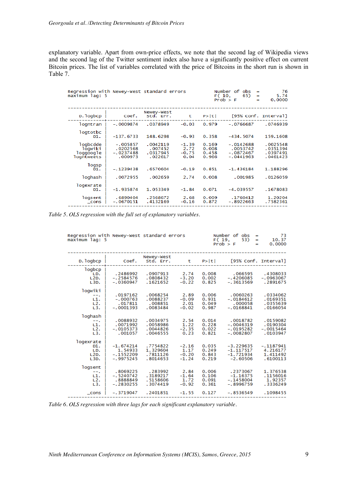explanatory variable. Apart from own-price effects, we note that the second lag of Wikipedia views and the second lag of the Twitter sentiment index also have a significantly positive effect on current Bitcoin prices. The list of variables correlated with the price of Bitcoins in the short run is shown in Table 7.

| Regression with Newey-West standard errors<br>maximum lag: 5 |                                                  |                                            |                                    |                                  | Number of<br>obs<br>F(10,<br>65)<br>Prob > F          | 76<br>$=$<br>5.74<br>$=$<br>0.0000<br>=      |
|--------------------------------------------------------------|--------------------------------------------------|--------------------------------------------|------------------------------------|----------------------------------|-------------------------------------------------------|----------------------------------------------|
| D. logbcp                                                    | Coef.                                            | Newey-West<br>Std. Err.                    | τ                                  | P >  t                           |                                                       | [95% Conf. Interval]                         |
| logntran                                                     | $-.0009874$                                      | .0378949                                   | $-0.03$                            | 0.979                            | $-.0766687$                                           | .0746939                                     |
| logtotbc<br>D1.                                              | $-137.6733$                                      | 148.6298                                   | $-0.93$                            | 0.358                            | $-434.5074$                                           | 159.1608                                     |
| logbcdde<br>lõgwiki<br>loggoogle<br>logntweets               | $-.005857$<br>.0202568<br>$-.0237488$<br>.000973 | .0042119<br>.007452<br>.0317945<br>.022617 | $-1.39$<br>2.72<br>$-0.75$<br>0.04 | 0.169<br>0.008<br>0.458<br>0.966 | $-.0142688$<br>.0053742<br>$-.0872467$<br>$-.0441963$ | .0025548<br>.0351394<br>.0397491<br>.0461423 |
| logsp<br>D1.                                                 | $-.1239438$                                      | .6570604                                   | $-0.19$                            | 0.851                            | $-1.436184$                                           | 1.188296                                     |
| loghash                                                      | .0072955                                         | .002659                                    | 2.74                               | 0.008                            | .001985                                               | .0126059                                     |
| logexrate<br>D1.                                             | $-1.935874$                                      | 1.053349                                   | $-1.84$                            | 0.071                            | $-4.039557$                                           | .1678083                                     |
| logsent<br>$\_cons$                                          | .6890404<br>$-.0670151$                          | .2568672<br>.4132169                       | 2.68<br>$-0.16$                    | 0.009<br>0.872                   | .1760412<br>$-.8922663$                               | 1.20204<br>.7582361                          |

*Table 5. OLS regression with the full set of explanatory variables.*

| Regression with Newey-West standard errors<br>maximum lag: 5 |                                                      |                                              |                                       |                                  | Number of obs<br>$=$<br>F(19)<br>53)<br>$=$<br>Prob > F<br>$=$ | -73<br>10.37<br>0.0000                          |
|--------------------------------------------------------------|------------------------------------------------------|----------------------------------------------|---------------------------------------|----------------------------------|----------------------------------------------------------------|-------------------------------------------------|
| D. logbcp                                                    | Coef.                                                | Newey-West<br>Std. Err.                      | t i                                   | P >  t                           | [95% Conf. Interval]                                           |                                                 |
| logbcp<br>LD.<br>L2D.<br>L3D.                                | .2486992<br>$-.2584576$<br>$-.0360947$               | .0907913<br>.0808432<br>.1621652             | 2.74<br>$-3.20$<br>$-0.22$            | 0.008<br>0.002<br>0.825          | .066595<br>$-.4206085$<br>$-.3613569$                          | .4308033<br>$-.0963067$<br>.2891675             |
| logwiki<br>--.<br>L1.<br>L2.<br>L3.                          | .0197162<br>$-.000763$<br>.017811<br>$-.0001393$     | .0068254<br>.0088237<br>.008851<br>.0083484  | 2.89<br>$-0.09$<br>2.01<br>$-0.02$    | 0.006<br>0.931<br>0.049<br>0.987 | .0060263<br>$-.0184612$<br>.000058<br>$-.0168841$              | .0334062<br>.0169351<br>.0355639<br>.0166054    |
| loghash<br>--.<br>L1.<br>L2.<br>L <sub>3</sub> .             | .0088932<br>.0071992<br>$-.0105373$<br>.001057       | .0034975<br>.0058986<br>.0044826<br>.0046555 | 2.54<br>1.22<br>$-2.35$<br>0.23       | 0.014<br>0.228<br>0.022<br>0.821 | .0018782<br>$-.0046319$<br>$-.0195282$<br>$-.0082807$          | .0159082<br>.0190304<br>$-.0015464$<br>.0103947 |
| logexrate<br>D1.<br>LD.<br>L2D.<br>L3D.                      | $-1.674214$<br>1.54933<br>$-.1552209$<br>$-.9975245$ | .7754822<br>1.329604<br>.7811126<br>.8014653 | $-2.16$<br>1.17<br>$-0.20$<br>$-1.24$ | 0.035<br>0.249<br>0.843<br>0.219 | $-3.229635$<br>$-1.117517$<br>$-1.721934$<br>$-2.60506$        | $-.1187941$<br>4.216177<br>1.411492<br>.6100113 |
| logsent<br>--.<br>L1.<br>L2.<br>L3.                          | .8069225<br>$-.5240742$<br>.8888849<br>$-.2830255$   | .283992<br>.3189217<br>.5158606<br>.3074419  | 2.84<br>$-1.64$<br>1.72<br>$-0.92$    | 0.006<br>0.106<br>0.091<br>0.361 | .2373067<br>$-1.16375$<br>$-.1458004$<br>$-.8996759$           | 1.376538<br>.1156016<br>1.92357<br>.3336249     |
| $\_cons$                                                     | $-.3719047$                                          | .2401851                                     | $-1.55$                               | 0.127                            | $-.8536549$                                                    | .1098455                                        |

*Table 6. OLS regression with three lags for each significant explanatory variable.*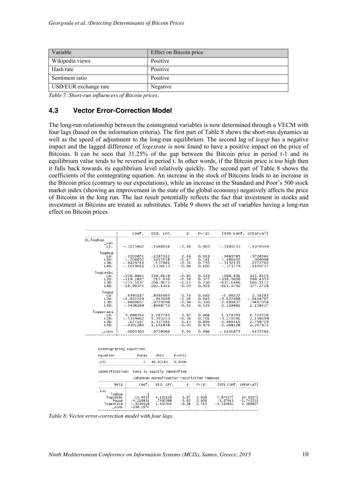| Variable              | Effect on Bitcoin price |
|-----------------------|-------------------------|
| Wikipedia views       | Positive                |
| Hash rate             | Positive                |
| Sentiment ratio       | Positive                |
| USD/EUR exchange rate | Negative                |

*Table 7. Short-run influencers of Bitcoin prices.*

## **4.3 Vector Error-Correction Model**

The long-run relationship between the cointegrated variables is now determined through a VECM with four lags (based on the information criteria). The first part of Table 8 shows the short-run dynamics as well as the speed of adjustment to the long-run equilibrium. The second lag of *logsp* has a negative impact and the lagged difference of *logexrate* is now found to have a positive impact on the price of Bitcoins. It can be seen that 31.25% of the gap between the Bitcoin price in period t-1 and its equilibrium value tends to be reversed in period t. In other words, if the Bitcoin price is too high then it falls back towards its equilibrium level relatively quickly. The second part of Table 8 shows the coefficients of the cointegrating equation. An increase in the stock of Bitcoins leads to an increase in the Bitcoin price (contrary to our expectations), while an increase in the Standard and Poor's 500 stock market index (showing an improvement in the state of the global economy) negatively affects the price of Bitcoins in the long run. The last result potentially reflects the fact that investment in stocks and investment in Bitcoins are treated as substitutes. Table 9 shows the set of variables having a long-run effect on Bitcoin prices.

|                                                      |                                                                                                                                                                |                                            |         |                | Coef. Std. Err. z P> z  [95% Conf. Interval]                                                                                                                                                                                                                                            |                                                |
|------------------------------------------------------|----------------------------------------------------------------------------------------------------------------------------------------------------------------|--------------------------------------------|---------|----------------|-----------------------------------------------------------------------------------------------------------------------------------------------------------------------------------------------------------------------------------------------------------------------------------------|------------------------------------------------|
| $D_{1}$ ogb $cp$                                     |                                                                                                                                                                |                                            |         |                |                                                                                                                                                                                                                                                                                         |                                                |
| $\mathsf{\_}$ ce1<br>L1.                             |                                                                                                                                                                |                                            |         |                | $-.3125402$ $.1048414$ $-2.98$ 0.003 $-.5180255$ $-.1070549$                                                                                                                                                                                                                            |                                                |
| logbcp<br>LD.<br>$L2D$ , $\dot{I}$<br>L3D.<br>$L4D.$ | .3203674.1287212.2.49                                                                                                                                          |                                            |         |                | 0.013 .0680785<br>- 208652 - 1417118 - 1.47 0.141 - 486402<br>- 0.141 - 1417118 - 1.47 0.141 - 486402<br>- 0.311 - 1119016 - 137881 - 0.31 0.755 - 3132135 -                                                                                                                            | .5726564<br>.069098<br>.2272702<br>.1499757    |
| logtotbc<br>LD.<br>L2D.<br>L3D.<br>L4D.              |                                                                                                                                                                |                                            |         |                | $\begin{array}{cccc} -226.9944 & 239.6149 & -0.95 & 0.343 & -696.631 & 242.6423 \\ -119.2837 & 213.636 & -0.56 & 0.577 & -538.0026 & 299.4353 \\ -235.5137 & 204.9175 & -1.15 & 0.250 & -637.1446 & 166.1172 \\ -18.90374 & 202.1341 & -0.09 & 0.925 & -415.0792 & 377.2718 \end{array$ |                                                |
| logsp<br>ED.<br>L2D.<br>L3D.<br>L4D.                 | .6393147<br>.6393147 .8691665 0.74<br>-1.832229 .913669 -2.01<br>-.8660657 .9259208<br>-.5406169 .8668753                                                      | $.8668753 -0.62$                           | $-0.94$ | 0.350<br>0.533 | $0.462$ $-1.06422$<br>0.045 $-3.622988$<br>-2.680837<br>$-2.239661$                                                                                                                                                                                                                     | 2.34285<br>$-.0414707$<br>.9487058<br>1.158427 |
| logexrate<br>LD. I                                   | 3.698214<br>LZD.   - 5359462 1.395253 -0.38 0.701 -3.270591<br>L3D.   .177157 1.337561 0.13 0.895 -2.444415<br>L4D.   -.0301283 1.141858 -0.03 0.979 -2.464415 | 1.287785 2.87                              |         |                | 0.004 1.174203                                                                                                                                                                                                                                                                          | 6.222226<br>2.198699<br>2.798729<br>2.207872   |
|                                                      | cons   .0005305 .0728064 0.01 0.994                                                                                                                            |                                            |         |                | $-.1421673$                                                                                                                                                                                                                                                                             | .1432284                                       |
| Equation                                             | Cointegrating equations                                                                                                                                        | Parms chi2 P>chi2                          |         |                |                                                                                                                                                                                                                                                                                         |                                                |
| _ce1                                                 |                                                                                                                                                                | 3 88.02165 0.0000                          |         |                |                                                                                                                                                                                                                                                                                         |                                                |
|                                                      |                                                                                                                                                                |                                            |         |                |                                                                                                                                                                                                                                                                                         |                                                |
|                                                      | Identification: beta is exactly identified                                                                                                                     |                                            |         |                |                                                                                                                                                                                                                                                                                         |                                                |
|                                                      |                                                                                                                                                                | Johansen normalization restriction imposed |         |                |                                                                                                                                                                                                                                                                                         |                                                |
|                                                      | beta l                                                                                                                                                         | Coef. Std. Err.                            |         |                | z P> z  [95% Conf. Interval]                                                                                                                                                                                                                                                            |                                                |
| $\_$ ce1                                             | logbcp  <br>$\begin{array}{c cccccc}\n & & 1 & & & \\ & & 15 & 9535 & 4.122128 & 3.87 & 0.000 & 7.874277 & 24.03272\n\end{array}$                              | $\mathbf{1}$                               |         |                |                                                                                                                                                                                                                                                                                         |                                                |

 $-5.62$  0.000<br> $-0.36$  0.715

-5.67943<br>-3.334691

*Table 8. Vector error-correction model with four lags.*

logexrat

\_cons

 $-1.5230419$ <br> $-236.1674$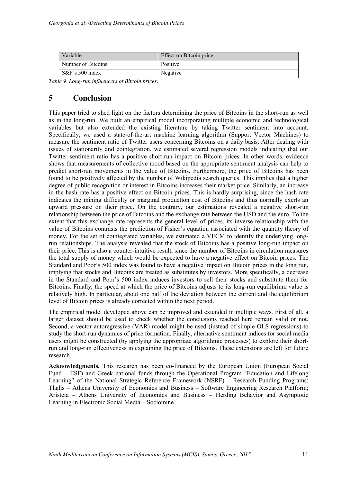| Variable                                                             | Effect on Bitcoin price |
|----------------------------------------------------------------------|-------------------------|
| Number of Bitcoins                                                   | Positive                |
| $S\&P$ 's 500 index                                                  | Negative                |
| $\mathbf{r}$ $\alpha$ $\mathbf{r}$<br>$\sim$<br>$\alpha$ m $\beta$ . |                         |

*Table 9. Long-run influencers of Bitcoin prices.*

## **5 Conclusion**

This paper tried to shed light on the factors determining the price of Bitcoins in the short-run as well as in the long-run. We built an empirical model incorporating multiple economic and technological variables but also extended the existing literature by taking Twitter sentiment into account. Specifically, we used a state-of-the-art machine learning algorithm (Support Vector Machines) to measure the sentiment ratio of Twitter users concerning Bitcoins on a daily basis. After dealing with issues of stationarity and cointegration, we estimated several regression models indicating that our Twitter sentiment ratio has a positive short-run impact on Bitcoin prices. In other words, evidence shows that measurements of collective mood based on the appropriate sentiment analysis can help to predict short-run movements in the value of Bitcoins. Furthermore, the price of Bitcoins has been found to be positively affected by the number of Wikipedia search queries. This implies that a higher degree of public recognition or interest in Bitcoins increases their market price. Similarly, an increase in the hash rate has a positive effect on Bitcoin prices. This is hardly surprising, since the hash rate indicates the mining difficulty or marginal production cost of Bitcoins and thus normally exerts an upward pressure on their price. On the contrary, our estimations revealed a negative short-run relationship between the price of Bitcoins and the exchange rate between the USD and the euro. To the extent that this exchange rate represents the general level of prices, its inverse relationship with the value of Bitcoins contrasts the prediction of Fisher's equation associated with the quantity theory of money. For the set of cointegrated variables, we estimated a VECM to identify the underlying longrun relationships. The analysis revealed that the stock of Bitcoins has a positive long-run impact on their price. This is also a counter-intuitive result, since the number of Bitcoins in circulation measures the total supply of money which would be expected to have a negative effect on Bitcoin prices. The Standard and Poor's 500 index was found to have a negative impact on Bitcoin prices in the long run, implying that stocks and Bitcoins are treated as substitutes by investors. More specifically, a decrease in the Standard and Poor's 500 index induces investors to sell their stocks and substitute them for Bitcoins. Finally, the speed at which the price of Bitcoins adjusts to its long-run equilibrium value is relatively high. In particular, about one half of the deviation between the current and the equilibrium level of Bitcoin prices is already corrected within the next period.

The empirical model developed above can be improved and extended in multiple ways. First of all, a larger dataset should be used to check whether the conclusions reached here remain valid or not. Second, a vector autoregressive (VAR) model might be used (instead of simple OLS regressions) to study the short-run dynamics of price formation. Finally, alternative sentiment indices for social media users might be constructed (by applying the appropriate algorithmic processes) to explore their shortrun and long-run effectiveness in explaining the price of Bitcoins. These extensions are left for future research.

**Acknowledgments.** This research has been co-financed by the European Union (European Social Fund – ESF) and Greek national funds through the Operational Program "Education and Lifelong Learning" of the National Strategic Reference Framework (NSRF) – Research Funding Programs: Thalis – Athens University of Economics and Business – Software Engineering Research Platform; Aristeia – Athens University of Economics and Business – Herding Behavior and Asymptotic Learning in Electronic Social Media – Sociomine.